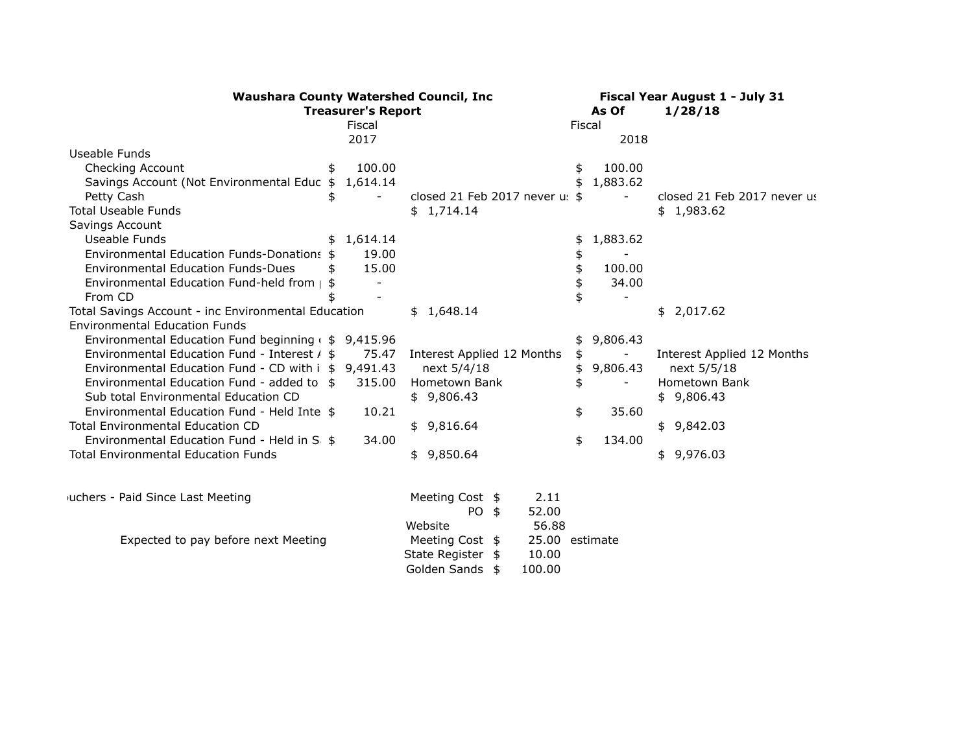| <b>Waushara County Watershed Council, Inc.</b>         | Fiscal Year August 1 - July 31 |                                   |        |          |                             |
|--------------------------------------------------------|--------------------------------|-----------------------------------|--------|----------|-----------------------------|
|                                                        | <b>Treasurer's Report</b>      |                                   |        | As Of    | 1/28/18                     |
|                                                        | Fiscal                         |                                   | Fiscal |          |                             |
|                                                        | 2017                           |                                   |        | 2018     |                             |
| Useable Funds                                          |                                |                                   |        |          |                             |
| Checking Account<br>\$                                 | 100.00                         |                                   | \$     | 100.00   |                             |
| Savings Account (Not Environmental Educ \$ 1,614.14    |                                |                                   |        | 1,883.62 |                             |
| Petty Cash<br>\$                                       |                                | closed 21 Feb 2017 never us \$    |        |          | closed 21 Feb 2017 never us |
| <b>Total Useable Funds</b>                             |                                | \$1,714.14                        |        |          | \$1,983.62                  |
| Savings Account                                        |                                |                                   |        |          |                             |
| Useable Funds                                          | \$1,614.14                     |                                   | \$     | 1,883.62 |                             |
| Environmental Education Funds-Donations \$             | 19.00                          |                                   | \$     |          |                             |
| <b>Environmental Education Funds-Dues</b><br>\$        | 15.00                          |                                   |        | 100.00   |                             |
| Environmental Education Fund-held from   \$            |                                |                                   |        | 34.00    |                             |
| From CD                                                |                                |                                   |        |          |                             |
| Total Savings Account - inc Environmental Education    |                                | \$1,648.14                        |        |          | \$2,017.62                  |
| <b>Environmental Education Funds</b>                   |                                |                                   |        |          |                             |
| Environmental Education Fund beginning $($ \$ 9,415.96 |                                |                                   | \$.    | 9,806.43 |                             |
| Environmental Education Fund - Interest / \$           | 75.47                          | Interest Applied 12 Months        | \$     |          | Interest Applied 12 Months  |
| Environmental Education Fund - CD with i \$ 9,491.43   |                                | next 5/4/18                       | \$     | 9,806.43 | next 5/5/18                 |
| Environmental Education Fund - added to \$             | 315.00                         | Hometown Bank                     | \$     |          | Hometown Bank               |
| Sub total Environmental Education CD                   |                                | \$9,806.43                        |        |          | \$9,806.43                  |
| Environmental Education Fund - Held Inte \$            | 10.21                          |                                   | \$     | 35.60    |                             |
| <b>Total Environmental Education CD</b>                |                                | \$9,816.64                        |        |          | \$9,842.03                  |
| Environmental Education Fund - Held in S               | 34.00                          |                                   | \$     | 134.00   |                             |
| <b>Total Environmental Education Funds</b>             |                                | \$9,850.64                        |        |          | \$9,976.03                  |
|                                                        |                                |                                   |        |          |                             |
| <sub>J</sub> uchers - Paid Since Last Meeting          |                                | 2.11<br>Meeting Cost \$           |        |          |                             |
|                                                        |                                | 52.00<br>PO \$                    |        |          |                             |
|                                                        |                                | 56.88<br>Website                  |        |          |                             |
| Expected to pay before next Meeting                    |                                | 25.00 estimate<br>Meeting Cost \$ |        |          |                             |
|                                                        |                                | State Register \$<br>10.00        |        |          |                             |
|                                                        |                                | Golden Sands \$<br>100.00         |        |          |                             |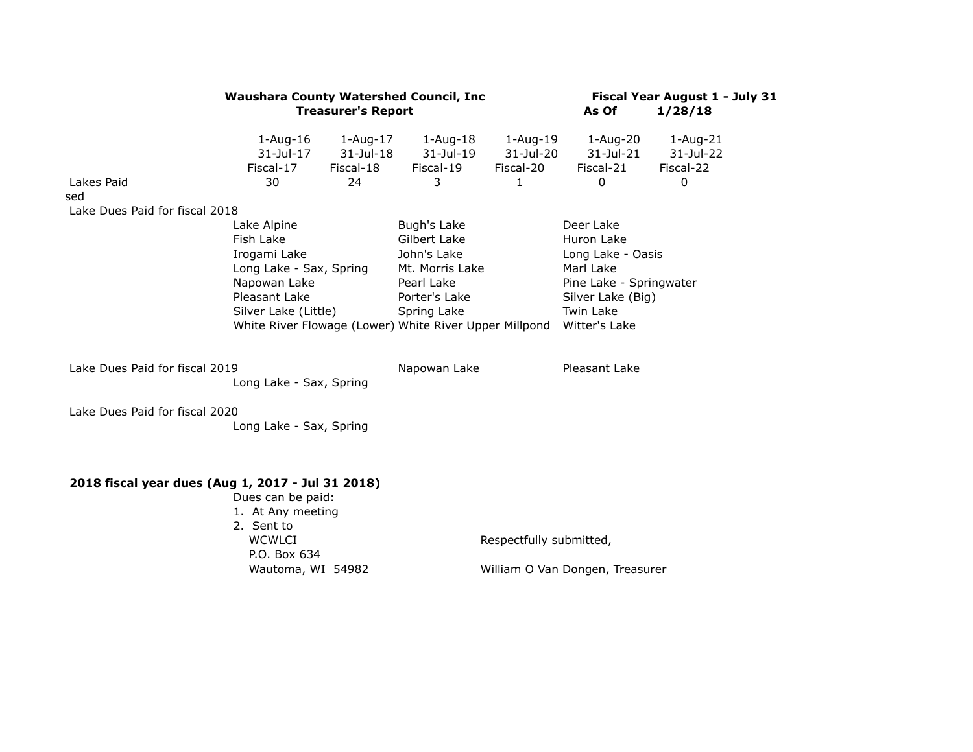| $1 - Aug-16$<br>$31$ -Jul-17<br>Fiscal-17<br>30<br>Lake Dues Paid for fiscal 2018<br>Lake Alpine<br>Fish Lake<br>Irogami Lake | $1 - Aug-17$<br>$31$ -Jul-18<br>Fiscal-18<br>24                  | $1 - Aug-18$<br>31-Jul-19<br>Fiscal-19<br>3<br>Bugh's Lake                                                                                                                                                     | 1-Aug-19<br>31-Jul-20<br>Fiscal-20<br>1 | $1-Aug-20$<br>$31$ -Jul-21<br>Fiscal-21<br>0                                                                                            | $1 - Aug-21$<br>31-Jul-22<br>Fiscal-22<br>0                |
|-------------------------------------------------------------------------------------------------------------------------------|------------------------------------------------------------------|----------------------------------------------------------------------------------------------------------------------------------------------------------------------------------------------------------------|-----------------------------------------|-----------------------------------------------------------------------------------------------------------------------------------------|------------------------------------------------------------|
|                                                                                                                               |                                                                  |                                                                                                                                                                                                                |                                         |                                                                                                                                         |                                                            |
|                                                                                                                               |                                                                  |                                                                                                                                                                                                                |                                         |                                                                                                                                         |                                                            |
|                                                                                                                               |                                                                  |                                                                                                                                                                                                                |                                         |                                                                                                                                         |                                                            |
| Long Lake - Sax, Spring<br>Napowan Lake<br>Pleasant Lake                                                                      |                                                                  | Gilbert Lake<br>John's Lake<br>Mt. Morris Lake<br>Pearl Lake<br>Porter's Lake<br>Spring Lake                                                                                                                   |                                         | Deer Lake<br>Huron Lake<br>Long Lake - Oasis<br>Marl Lake<br>Pine Lake - Springwater<br>Silver Lake (Big)<br>Twin Lake<br>Witter's Lake |                                                            |
|                                                                                                                               |                                                                  | Napowan Lake                                                                                                                                                                                                   |                                         | Pleasant Lake                                                                                                                           |                                                            |
|                                                                                                                               |                                                                  |                                                                                                                                                                                                                |                                         |                                                                                                                                         |                                                            |
|                                                                                                                               |                                                                  |                                                                                                                                                                                                                |                                         |                                                                                                                                         |                                                            |
| 2. Sent to                                                                                                                    |                                                                  |                                                                                                                                                                                                                |                                         |                                                                                                                                         |                                                            |
| <b>WCWLCI</b>                                                                                                                 |                                                                  |                                                                                                                                                                                                                |                                         |                                                                                                                                         |                                                            |
|                                                                                                                               |                                                                  |                                                                                                                                                                                                                |                                         |                                                                                                                                         |                                                            |
|                                                                                                                               | Lake Dues Paid for fiscal 2019<br>Lake Dues Paid for fiscal 2020 | Silver Lake (Little)<br>Long Lake - Sax, Spring<br>Long Lake - Sax, Spring<br>2018 fiscal year dues (Aug 1, 2017 - Jul 31 2018)<br>Dues can be paid:<br>1. At Any meeting<br>P.O. Box 634<br>Wautoma, WI 54982 |                                         | White River Flowage (Lower) White River Upper Millpond                                                                                  | Respectfully submitted,<br>William O Van Dongen, Treasurer |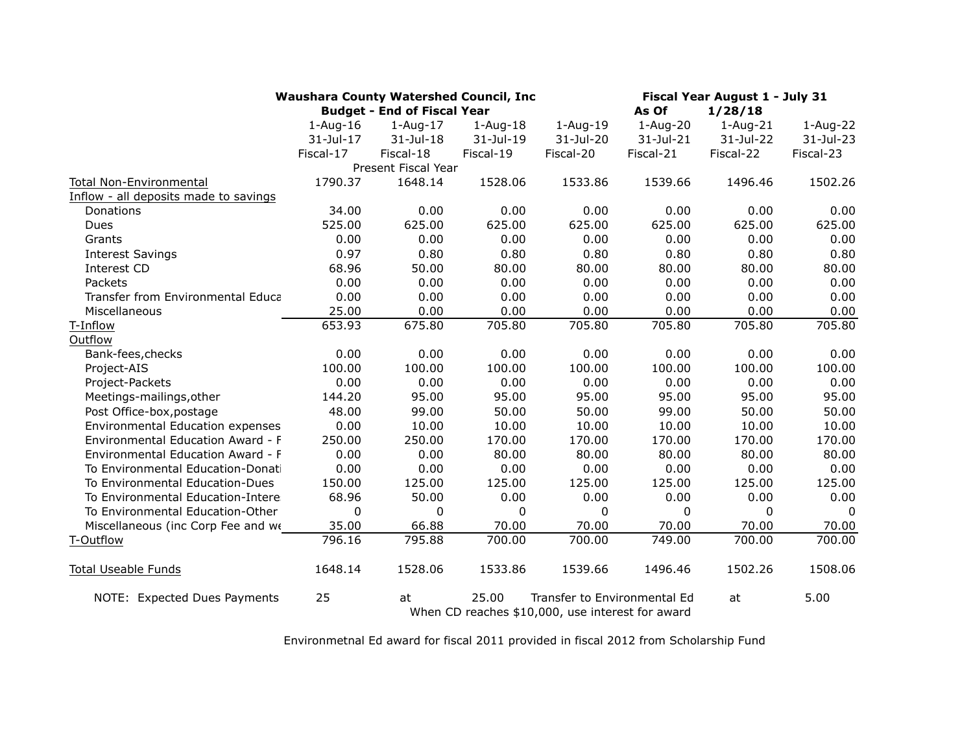|                                       | <b>Waushara County Watershed Council, Inc.</b> |                                    |                                                           | Fiscal Year August 1 - July 31<br>1/28/18 |            |            |              |
|---------------------------------------|------------------------------------------------|------------------------------------|-----------------------------------------------------------|-------------------------------------------|------------|------------|--------------|
|                                       |                                                | <b>Budget - End of Fiscal Year</b> |                                                           | As Of                                     |            |            |              |
|                                       | $1 - Aug-16$                                   | $1-Aug-17$                         | $1-Aug-18$                                                | $1-Aug-19$                                | $1-Auq-20$ | $1-Aug-21$ | $1 - Aug-22$ |
|                                       | 31-Jul-17                                      | 31-Jul-18                          | 31-Jul-19                                                 | 31-Jul-20                                 | 31-Jul-21  | 31-Jul-22  | 31-Jul-23    |
|                                       | Fiscal-17                                      | Fiscal-18                          | Fiscal-19                                                 | Fiscal-20                                 | Fiscal-21  | Fiscal-22  | Fiscal-23    |
|                                       |                                                | Present Fiscal Year                |                                                           |                                           |            |            |              |
| Total Non-Environmental               | 1790.37                                        | 1648.14                            | 1528.06                                                   | 1533.86                                   | 1539.66    | 1496.46    | 1502.26      |
| Inflow - all deposits made to savings |                                                |                                    |                                                           |                                           |            |            |              |
| Donations                             | 34.00                                          | 0.00                               | 0.00                                                      | 0.00                                      | 0.00       | 0.00       | 0.00         |
| <b>Dues</b>                           | 525.00                                         | 625.00                             | 625.00                                                    | 625.00                                    | 625.00     | 625.00     | 625.00       |
| Grants                                | 0.00                                           | 0.00                               | 0.00                                                      | 0.00                                      | 0.00       | 0.00       | 0.00         |
| <b>Interest Savings</b>               | 0.97                                           | 0.80                               | 0.80                                                      | 0.80                                      | 0.80       | 0.80       | 0.80         |
| Interest CD                           | 68.96                                          | 50.00                              | 80.00                                                     | 80.00                                     | 80.00      | 80.00      | 80.00        |
| Packets                               | 0.00                                           | 0.00                               | 0.00                                                      | 0.00                                      | 0.00       | 0.00       | 0.00         |
| Transfer from Environmental Educa     | 0.00                                           | 0.00                               | 0.00                                                      | 0.00                                      | 0.00       | 0.00       | 0.00         |
| Miscellaneous                         | 25.00                                          | 0.00                               | 0.00                                                      | 0.00                                      | 0.00       | 0.00       | 0.00         |
| T-Inflow                              | 653.93                                         | 675.80                             | 705.80                                                    | 705.80                                    | 705.80     | 705.80     | 705.80       |
| Outflow                               |                                                |                                    |                                                           |                                           |            |            |              |
| Bank-fees, checks                     | 0.00                                           | 0.00                               | 0.00                                                      | 0.00                                      | 0.00       | 0.00       | 0.00         |
| Project-AIS                           | 100.00                                         | 100.00                             | 100.00                                                    | 100.00                                    | 100.00     | 100.00     | 100.00       |
| Project-Packets                       | 0.00                                           | 0.00                               | 0.00                                                      | 0.00                                      | 0.00       | 0.00       | 0.00         |
| Meetings-mailings, other              | 144.20                                         | 95.00                              | 95.00                                                     | 95.00                                     | 95.00      | 95.00      | 95.00        |
| Post Office-box, postage              | 48.00                                          | 99.00                              | 50.00                                                     | 50.00                                     | 99.00      | 50.00      | 50.00        |
| Environmental Education expenses      | 0.00                                           | 10.00                              | 10.00                                                     | 10.00                                     | 10.00      | 10.00      | 10.00        |
| Environmental Education Award - F     | 250.00                                         | 250.00                             | 170.00                                                    | 170.00                                    | 170.00     | 170.00     | 170.00       |
| Environmental Education Award - F     | 0.00                                           | 0.00                               | 80.00                                                     | 80.00                                     | 80.00      | 80.00      | 80.00        |
| To Environmental Education-Donati     | 0.00                                           | 0.00                               | 0.00                                                      | 0.00                                      | 0.00       | 0.00       | 0.00         |
| To Environmental Education-Dues       | 150.00                                         | 125.00                             | 125.00                                                    | 125.00                                    | 125.00     | 125.00     | 125.00       |
| To Environmental Education-Intere:    | 68.96                                          | 50.00                              | 0.00                                                      | 0.00                                      | 0.00       | 0.00       | 0.00         |
| To Environmental Education-Other      | 0                                              | 0                                  | $\mathbf{0}$                                              | $\mathbf{0}$                              | 0          | 0          | 0            |
| Miscellaneous (inc Corp Fee and we    | 35.00                                          | 66.88                              | 70.00                                                     | 70.00                                     | 70.00      | 70.00      | 70.00        |
| T-Outflow                             | 796.16                                         | 795.88                             | 700.00                                                    | 700.00                                    | 749.00     | 700.00     | 700.00       |
| <b>Total Useable Funds</b>            | 1648.14                                        | 1528.06                            | 1533.86                                                   | 1539.66                                   | 1496.46    | 1502.26    | 1508.06      |
| NOTE: Expected Dues Payments          | 25                                             | at                                 | 25.00<br>When CD reaches \$10,000, use interest for award | Transfer to Environmental Ed              |            | at         | 5.00         |

Environmetnal Ed award for fiscal 2011 provided in fiscal 2012 from Scholarship Fund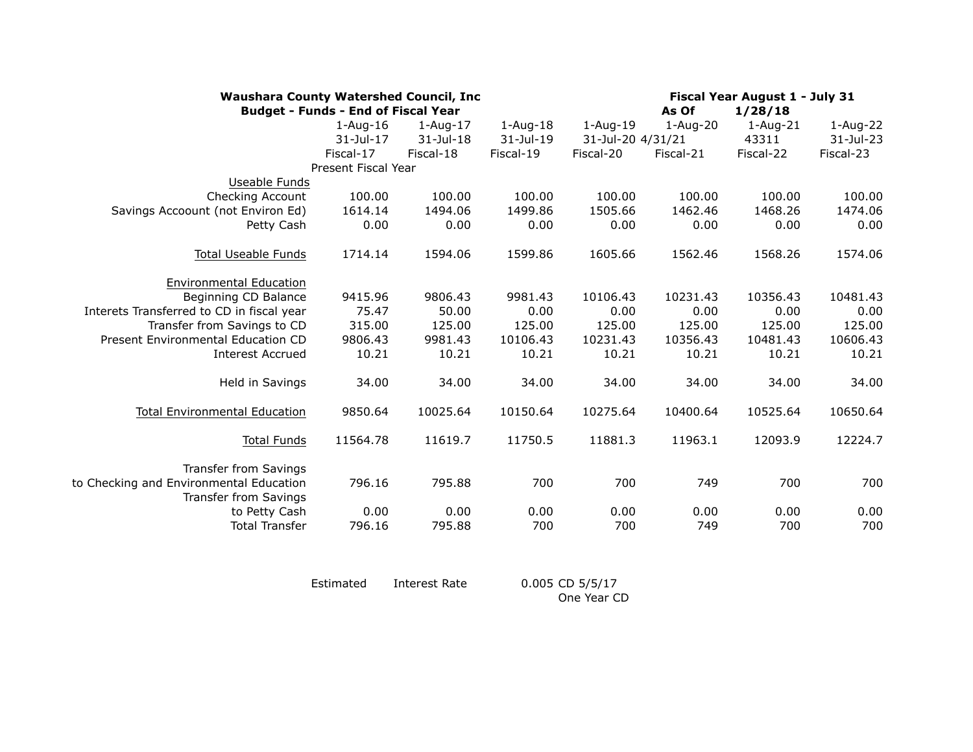| <b>Waushara County Watershed Council, Inc.</b><br><b>Budget - Funds - End of Fiscal Year</b> |                     | Fiscal Year August 1 - July 31<br>As Of<br>1/28/18 |              |                   |              |              |           |
|----------------------------------------------------------------------------------------------|---------------------|----------------------------------------------------|--------------|-------------------|--------------|--------------|-----------|
|                                                                                              | $1-Aug-16$          | $1 - Aug-17$                                       | $1 - Aug-18$ | $1 - Aug-19$      | $1 - Aug-20$ | $1 - Aug-21$ | 1-Aug-22  |
|                                                                                              | 31-Jul-17           | 31-Jul-18                                          | 31-Jul-19    | 31-Jul-20 4/31/21 |              | 43311        | 31-Jul-23 |
|                                                                                              | Fiscal-17           | Fiscal-18                                          | Fiscal-19    | Fiscal-20         | Fiscal-21    | Fiscal-22    | Fiscal-23 |
|                                                                                              | Present Fiscal Year |                                                    |              |                   |              |              |           |
| Useable Funds                                                                                |                     |                                                    |              |                   |              |              |           |
| <b>Checking Account</b>                                                                      | 100.00              | 100.00                                             | 100.00       | 100.00            | 100.00       | 100.00       | 100.00    |
| Savings Accoount (not Environ Ed)                                                            | 1614.14             | 1494.06                                            | 1499.86      | 1505.66           | 1462.46      | 1468.26      | 1474.06   |
| Petty Cash                                                                                   | 0.00                | 0.00                                               | 0.00         | 0.00              | 0.00         | 0.00         | 0.00      |
| <b>Total Useable Funds</b>                                                                   | 1714.14             | 1594.06                                            | 1599.86      | 1605.66           | 1562.46      | 1568.26      | 1574.06   |
| <b>Environmental Education</b>                                                               |                     |                                                    |              |                   |              |              |           |
| Beginning CD Balance                                                                         | 9415.96             | 9806.43                                            | 9981.43      | 10106.43          | 10231.43     | 10356.43     | 10481.43  |
| Interets Transferred to CD in fiscal year                                                    | 75.47               | 50.00                                              | 0.00         | 0.00              | 0.00         | 0.00         | 0.00      |
| Transfer from Savings to CD                                                                  | 315.00              | 125.00                                             | 125.00       | 125.00            | 125.00       | 125.00       | 125.00    |
| Present Environmental Education CD                                                           | 9806.43             | 9981.43                                            | 10106.43     | 10231.43          | 10356.43     | 10481.43     | 10606.43  |
| <b>Interest Accrued</b>                                                                      | 10.21               | 10.21                                              | 10.21        | 10.21             | 10.21        | 10.21        | 10.21     |
| Held in Savings                                                                              | 34.00               | 34.00                                              | 34.00        | 34.00             | 34.00        | 34.00        | 34.00     |
| <b>Total Environmental Education</b>                                                         | 9850.64             | 10025.64                                           | 10150.64     | 10275.64          | 10400.64     | 10525.64     | 10650.64  |
| <b>Total Funds</b>                                                                           | 11564.78            | 11619.7                                            | 11750.5      | 11881.3           | 11963.1      | 12093.9      | 12224.7   |
| <b>Transfer from Savings</b>                                                                 |                     |                                                    |              |                   |              |              |           |
| to Checking and Environmental Education<br><b>Transfer from Savings</b>                      | 796.16              | 795.88                                             | 700          | 700               | 749          | 700          | 700       |
| to Petty Cash                                                                                | 0.00                | 0.00                                               | 0.00         | 0.00              | 0.00         | 0.00         | 0.00      |
| <b>Total Transfer</b>                                                                        | 796.16              | 795.88                                             | 700          | 700               | 749          | 700          | 700       |
|                                                                                              |                     |                                                    |              |                   |              |              |           |

| Estimated | Interest Rate | 0.005 CD 5/5/17 |
|-----------|---------------|-----------------|
|           |               | One Year CD     |